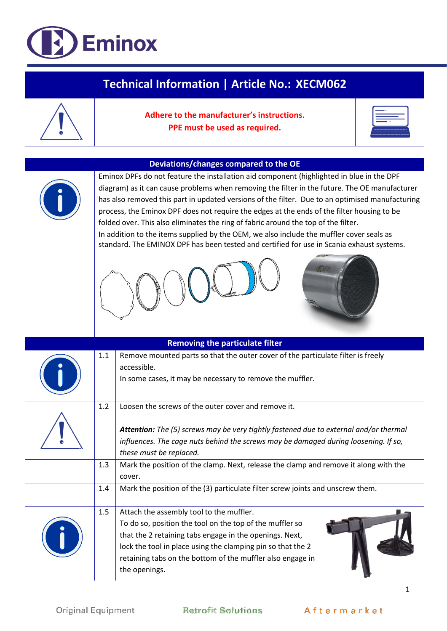## Eminox

| <b>Technical Information   Article No.: XECM062</b> |                                                                                                                                                                                                                                                                                                                                                                                                                                                                                                                                                                                                                                                                                                                     |                                                                                                                                                                                                                                                                                                               |  |  |  |  |
|-----------------------------------------------------|---------------------------------------------------------------------------------------------------------------------------------------------------------------------------------------------------------------------------------------------------------------------------------------------------------------------------------------------------------------------------------------------------------------------------------------------------------------------------------------------------------------------------------------------------------------------------------------------------------------------------------------------------------------------------------------------------------------------|---------------------------------------------------------------------------------------------------------------------------------------------------------------------------------------------------------------------------------------------------------------------------------------------------------------|--|--|--|--|
|                                                     |                                                                                                                                                                                                                                                                                                                                                                                                                                                                                                                                                                                                                                                                                                                     | Adhere to the manufacturer's instructions.<br>PPE must be used as required.                                                                                                                                                                                                                                   |  |  |  |  |
|                                                     |                                                                                                                                                                                                                                                                                                                                                                                                                                                                                                                                                                                                                                                                                                                     |                                                                                                                                                                                                                                                                                                               |  |  |  |  |
|                                                     | Deviations/changes compared to the OE<br>Eminox DPFs do not feature the installation aid component (highlighted in blue in the DPF<br>diagram) as it can cause problems when removing the filter in the future. The OE manufacturer<br>has also removed this part in updated versions of the filter. Due to an optimised manufacturing<br>process, the Eminox DPF does not require the edges at the ends of the filter housing to be<br>folded over. This also eliminates the ring of fabric around the top of the filter.<br>In addition to the items supplied by the OEM, we also include the muffler cover seals as<br>standard. The EMINOX DPF has been tested and certified for use in Scania exhaust systems. |                                                                                                                                                                                                                                                                                                               |  |  |  |  |
|                                                     |                                                                                                                                                                                                                                                                                                                                                                                                                                                                                                                                                                                                                                                                                                                     |                                                                                                                                                                                                                                                                                                               |  |  |  |  |
| <b>Removing the particulate filter</b>              |                                                                                                                                                                                                                                                                                                                                                                                                                                                                                                                                                                                                                                                                                                                     |                                                                                                                                                                                                                                                                                                               |  |  |  |  |
|                                                     | 1.1                                                                                                                                                                                                                                                                                                                                                                                                                                                                                                                                                                                                                                                                                                                 | Remove mounted parts so that the outer cover of the particulate filter is freely<br>accessible.<br>In some cases, it may be necessary to remove the muffler.                                                                                                                                                  |  |  |  |  |
|                                                     | 1.2                                                                                                                                                                                                                                                                                                                                                                                                                                                                                                                                                                                                                                                                                                                 | Loosen the screws of the outer cover and remove it.                                                                                                                                                                                                                                                           |  |  |  |  |
|                                                     |                                                                                                                                                                                                                                                                                                                                                                                                                                                                                                                                                                                                                                                                                                                     | Attention: The (5) screws may be very tightly fastened due to external and/or thermal<br>influences. The cage nuts behind the screws may be damaged during loosening. If so,<br>these must be replaced.                                                                                                       |  |  |  |  |
|                                                     | 1.3                                                                                                                                                                                                                                                                                                                                                                                                                                                                                                                                                                                                                                                                                                                 | Mark the position of the clamp. Next, release the clamp and remove it along with the<br>cover.                                                                                                                                                                                                                |  |  |  |  |
|                                                     | 1.4                                                                                                                                                                                                                                                                                                                                                                                                                                                                                                                                                                                                                                                                                                                 | Mark the position of the (3) particulate filter screw joints and unscrew them.                                                                                                                                                                                                                                |  |  |  |  |
|                                                     | 1.5                                                                                                                                                                                                                                                                                                                                                                                                                                                                                                                                                                                                                                                                                                                 | Attach the assembly tool to the muffler.<br>To do so, position the tool on the top of the muffler so<br>that the 2 retaining tabs engage in the openings. Next,<br>lock the tool in place using the clamping pin so that the 2<br>retaining tabs on the bottom of the muffler also engage in<br>the openings. |  |  |  |  |

 $\mathbf 1$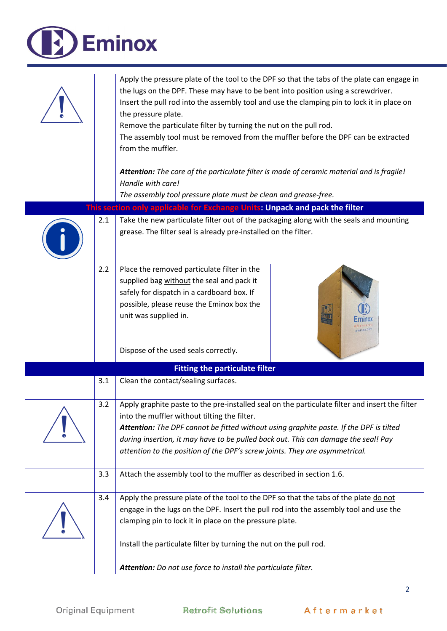| <b>Eminox</b> |     |                                                                                                                                                                                                                                                                                                                                                                                                                                                                                       |  |  |  |
|---------------|-----|---------------------------------------------------------------------------------------------------------------------------------------------------------------------------------------------------------------------------------------------------------------------------------------------------------------------------------------------------------------------------------------------------------------------------------------------------------------------------------------|--|--|--|
|               |     | Apply the pressure plate of the tool to the DPF so that the tabs of the plate can engage in<br>the lugs on the DPF. These may have to be bent into position using a screwdriver.<br>Insert the pull rod into the assembly tool and use the clamping pin to lock it in place on<br>the pressure plate.<br>Remove the particulate filter by turning the nut on the pull rod.<br>The assembly tool must be removed from the muffler before the DPF can be extracted<br>from the muffler. |  |  |  |
|               |     | Attention: The core of the particulate filter is made of ceramic material and is fragile!<br>Handle with care!                                                                                                                                                                                                                                                                                                                                                                        |  |  |  |
|               |     | The assembly tool pressure plate must be clean and grease-free.                                                                                                                                                                                                                                                                                                                                                                                                                       |  |  |  |
|               |     | This section only applicable for Exchange Units: Unpack and pack the filter                                                                                                                                                                                                                                                                                                                                                                                                           |  |  |  |
|               | 2.1 | Take the new particulate filter out of the packaging along with the seals and mounting                                                                                                                                                                                                                                                                                                                                                                                                |  |  |  |
|               |     | grease. The filter seal is already pre-installed on the filter.                                                                                                                                                                                                                                                                                                                                                                                                                       |  |  |  |
|               | 2.2 | Place the removed particulate filter in the<br>supplied bag without the seal and pack it<br>safely for dispatch in a cardboard box. If<br>possible, please reuse the Eminox box the<br>unit was supplied in.                                                                                                                                                                                                                                                                          |  |  |  |
|               |     | Dispose of the used seals correctly.                                                                                                                                                                                                                                                                                                                                                                                                                                                  |  |  |  |
|               |     | <b>Fitting the particulate filter</b>                                                                                                                                                                                                                                                                                                                                                                                                                                                 |  |  |  |
|               | 3.1 | Clean the contact/sealing surfaces.                                                                                                                                                                                                                                                                                                                                                                                                                                                   |  |  |  |
|               | 3.2 | Apply graphite paste to the pre-installed seal on the particulate filter and insert the filter<br>into the muffler without tilting the filter.<br>Attention: The DPF cannot be fitted without using graphite paste. If the DPF is tilted<br>during insertion, it may have to be pulled back out. This can damage the seal! Pay<br>attention to the position of the DPF's screw joints. They are asymmetrical.                                                                         |  |  |  |
|               | 3.3 | Attach the assembly tool to the muffler as described in section 1.6.                                                                                                                                                                                                                                                                                                                                                                                                                  |  |  |  |
|               | 3.4 | Apply the pressure plate of the tool to the DPF so that the tabs of the plate do not<br>engage in the lugs on the DPF. Insert the pull rod into the assembly tool and use the<br>clamping pin to lock it in place on the pressure plate.                                                                                                                                                                                                                                              |  |  |  |
|               |     | Install the particulate filter by turning the nut on the pull rod.                                                                                                                                                                                                                                                                                                                                                                                                                    |  |  |  |
|               |     | Attention: Do not use force to install the particulate filter.                                                                                                                                                                                                                                                                                                                                                                                                                        |  |  |  |

A

 $\overline{2}$